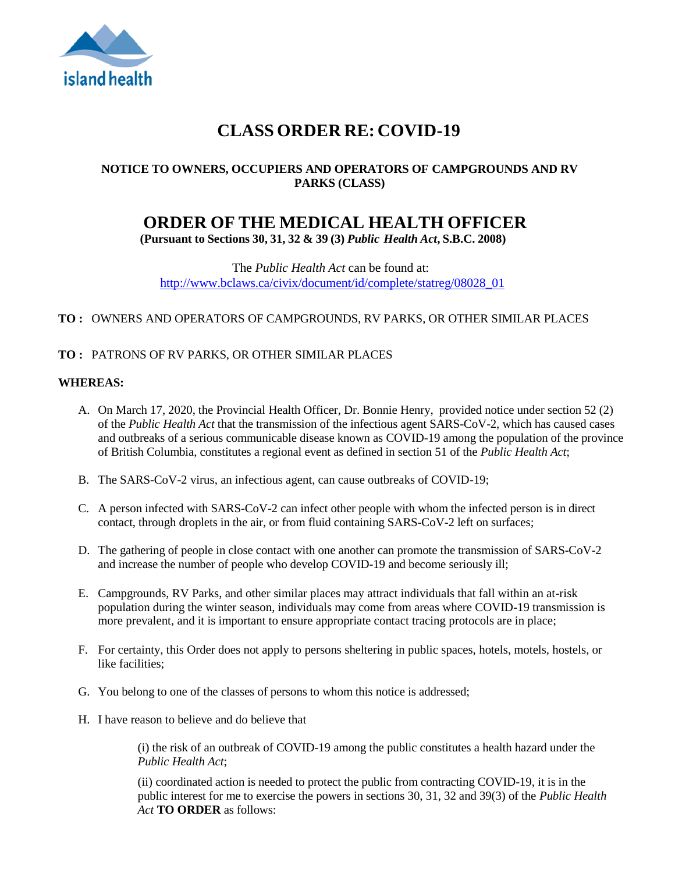

# **CLASS ORDER RE: COVID-19**

## **NOTICE TO OWNERS, OCCUPIERS AND OPERATORS OF CAMPGROUNDS AND RV PARKS (CLASS)**

# **ORDER OF THE MEDICAL HEALTH OFFICER**

**(Pursuant to Sections 30, 31, 32 & 39 (3)** *Public Health Act***, S.B.C. 2008)**

The *Public Health Act* can be found at: [http://www.bclaws.ca/civix/document/id/complete/statreg/08028\\_01](http://www.bclaws.ca/civix/document/id/complete/statreg/08028_01)

## **TO :** OWNERS AND OPERATORS OF CAMPGROUNDS, RV PARKS, OR OTHER SIMILAR PLACES

## **TO :** PATRONS OF RV PARKS, OR OTHER SIMILAR PLACES

#### **WHEREAS:**

- A. On March 17, 2020, the Provincial Health Officer, Dr. Bonnie Henry, provided notice under section 52 (2) of the *Public Health Act* that the transmission of the infectious agent SARS-CoV-2, which has caused cases and outbreaks of a serious communicable disease known as COVID-19 among the population of the province of British Columbia, constitutes a regional event as defined in section 51 of the *Public Health Act*;
- B. The SARS-CoV-2 virus, an infectious agent, can cause outbreaks of COVID-19;
- C. A person infected with SARS-CoV-2 can infect other people with whom the infected person is in direct contact, through droplets in the air, or from fluid containing SARS-CoV-2 left on surfaces;
- D. The gathering of people in close contact with one another can promote the transmission of SARS-CoV-2 and increase the number of people who develop COVID-19 and become seriously ill;
- E. Campgrounds, RV Parks, and other similar places may attract individuals that fall within an at-risk population during the winter season, individuals may come from areas where COVID-19 transmission is more prevalent, and it is important to ensure appropriate contact tracing protocols are in place;
- F. For certainty, this Order does not apply to persons sheltering in public spaces, hotels, motels, hostels, or like facilities;
- G. You belong to one of the classes of persons to whom this notice is addressed;
- H. I have reason to believe and do believe that

(i) the risk of an outbreak of COVID-19 among the public constitutes a health hazard under the *Public Health Act*;

(ii) coordinated action is needed to protect the public from contracting COVID-19, it is in the public interest for me to exercise the powers in sections 30, 31, 32 and 39(3) of the *Public Health Act* **TO ORDER** as follows: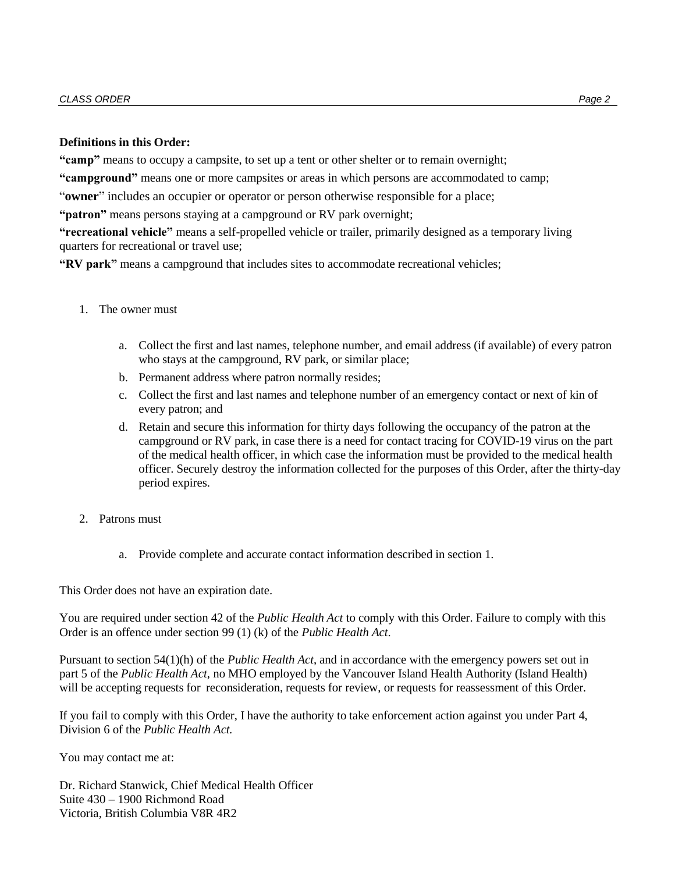#### **Definitions in this Order:**

**"camp"** means to occupy a campsite, to set up a tent or other shelter or to remain overnight;

**"campground"** means one or more campsites or areas in which persons are accommodated to camp;

"**owner**" includes an occupier or operator or person otherwise responsible for a place;

**"patron"** means persons staying at a campground or RV park overnight;

**"recreational vehicle"** means a self-propelled vehicle or trailer, primarily designed as a temporary living quarters for recreational or travel use;

**"RV park"** means a campground that includes sites to accommodate recreational vehicles;

- 1. The owner must
	- a. Collect the first and last names, telephone number, and email address (if available) of every patron who stays at the campground, RV park, or similar place;
	- b. Permanent address where patron normally resides;
	- c. Collect the first and last names and telephone number of an emergency contact or next of kin of every patron; and
	- d. Retain and secure this information for thirty days following the occupancy of the patron at the campground or RV park, in case there is a need for contact tracing for COVID-19 virus on the part of the medical health officer, in which case the information must be provided to the medical health officer. Securely destroy the information collected for the purposes of this Order, after the thirty-day period expires.
- 2. Patrons must
	- a. Provide complete and accurate contact information described in section 1.

This Order does not have an expiration date.

You are required under section 42 of the *Public Health Act* to comply with this Order. Failure to comply with this Order is an offence under section 99 (1) (k) of the *Public Health Act*.

Pursuant to section 54(1)(h) of the *Public Health Act*, and in accordance with the emergency powers set out in part 5 of the *Public Health Act*, no MHO employed by the Vancouver Island Health Authority (Island Health) will be accepting requests for reconsideration, requests for review, or requests for reassessment of this Order.

If you fail to comply with this Order, I have the authority to take enforcement action against you under Part 4, Division 6 of the *Public Health Act.*

You may contact me at:

Dr. Richard Stanwick, Chief Medical Health Officer Suite 430 – 1900 Richmond Road Victoria, British Columbia V8R 4R2